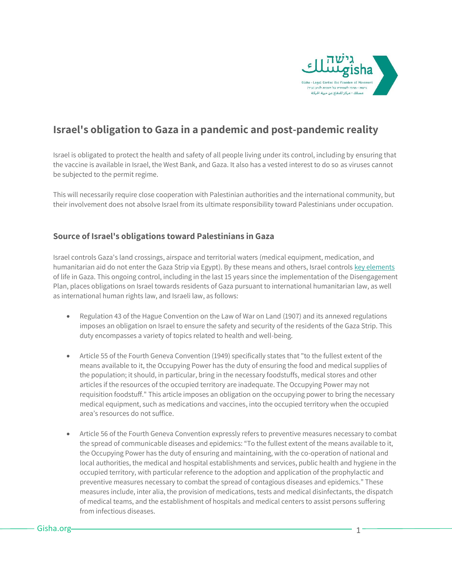

# **Israel's obligation to Gaza in a pandemic and post-pandemic reality**

Israel is obligated to protect the health and safety of all people living under its control, including by ensuring that the vaccine is available in Israel, the West Bank, and Gaza. It also has a vested interest to do so as viruses cannot be subjected to the permit regime.

This will necessarily require close cooperation with Palestinian authorities and the international community, but their involvement does not absolve Israel from its ultimate responsibility toward Palestinians under occupation.

#### **Source of Israel's obligations toward Palestinians in Gaza**

Israel controls Gaza's land crossings, airspace and territorial waters (medical equipment, medication, and humanitarian aid do not enter the Gaza Strip via Egypt). By these means and others, Israel control[s key elements](https://gisha.org/50shades-en/) of life in Gaza. This ongoing control, including in the last 15 years since the implementation of the Disengagement Plan, places obligations on Israel towards residents of Gaza pursuant to international humanitarian law, as well as international human rights law, and Israeli law, as follows:

- Regulation 43 of the Hague Convention on the Law of War on Land (1907) and its annexed regulations imposes an obligation on Israel to ensure the safety and security of the residents of the Gaza Strip. This duty encompasses a variety of topics related to health and well-being.
- Article 55 of the Fourth Geneva Convention (1949) specifically states that "to the fullest extent of the means available to it, the Occupying Power has the duty of ensuring the food and medical supplies of the population; it should, in particular, bring in the necessary foodstuffs, medical stores and other articles if the resources of the occupied territory are inadequate. The Occupying Power may not requisition foodstuff." This article imposes an obligation on the occupying power to bring the necessary medical equipment, such as medications and vaccines, into the occupied territory when the occupied area's resources do not suffice.
- Article 56 of the Fourth Geneva Convention expressly refers to preventive measures necessary to combat the spread of communicable diseases and epidemics: "To the fullest extent of the means available to it, the Occupying Power has the duty of ensuring and maintaining, with the co-operation of national and local authorities, the medical and hospital establishments and services, public health and hygiene in the occupied territory, with particular reference to the adoption and application of the prophylactic and preventive measures necessary to combat the spread of contagious diseases and epidemics." These measures include, inter alia, the provision of medications, tests and medical disinfectants, the dispatch of medical teams, and the establishment of hospitals and medical centers to assist persons suffering from infectious diseases.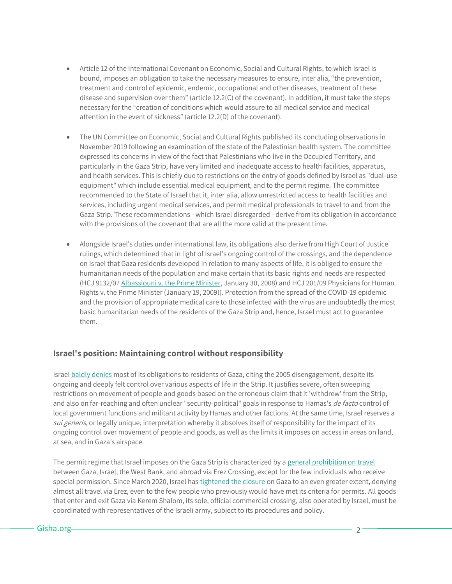- Article 12 of the International Covenant on Economic, Social and Cultural Rights, to which Israel is bound, imposes an obligation to take the necessary measures to ensure, inter alia, "the prevention, treatment and control of epidemic, endemic, occupational and other diseases, treatment of these disease and supervision over them" (article 12.2(C) of the covenant). In addition, it must take the steps necessary for the "creation of conditions which would assure to all medical service and medical attention in the event of sickness" (article 12.2(D) of the covenant).
- The UN Committee on Economic, Social and Cultural Rights published its concluding observations in November 2019 following an examination of the state of the Palestinian health system. The committee expressed its concerns in view of the fact that Palestinians who live in the Occupied Territory, and particularly in the Gaza Strip, have very limited and inadequate access to health facilities, apparatus, and health services. This is chiefly due to restrictions on the entry of goods defined by Israel as "dual-use equipment" which include essential medical equipment, and to the permit regime. The committee recommended to the State of Israel that it, inter alia, allow unrestricted access to health facilities and services, including urgent medical services, and permit medical professionals to travel to and from the Gaza Strip. These recommendations - which Israel disregarded - derive from its obligation in accordance with the provisions of the covenant that are all the more valid at the present time.
- Alongside Israel's duties under international law, its obligations also derive from High Court of Justice rulings, which determined that in light of Israel's ongoing control of the crossings, and the dependence on Israel that Gaza residents developed in relation to many aspects of life, it is obliged to ensure the humanitarian needs of the population and make certain that its basic rights and needs are respected (HCJ 9132/0[7 Albassiouni v. the Prime Minister,](https://www.gisha.org/UserFiles/File/publications/Gisha-Preliminary-Analysis-Fuel-Electricity-Decision.pdf) January 30, 2008) and HCJ 201/09 Physicians for Human Rights v. the Prime Minister (January 19, 2009)). Protection from the spread of the COVID-19 epidemic and the provision of appropriate medical care to those infected with the virus are undoubtedly the most basic humanitarian needs of the residents of the Gaza Strip and, hence, Israel must act to guarantee them.

### **Israel's position: Maintaining control without responsibility**

Israe[l baldly denies](https://mfa.gov.il/MFA/ForeignPolicy/Issues/Pages/Gaza%20designated%20a%20%E2%80%9CHostile%20Territory%E2%80%9D%2024-Sep-2007.aspx) most of its obligations to residents of Gaza, citing the 2005 disengagement, despite its ongoing and deeply felt control over various aspects of life in the Strip. It justifies severe, often sweeping restrictions on movement of people and goods based on the erroneous claim that it 'withdrew' from the Strip, and also on far-reaching and often unclear "security-political" goals in response to Hamas's de facto control of local government functions and militant activity by Hamas and other factions. At the same time, Israel reserves a sui generis, or legally unique, interpretation whereby it absolves itself of responsibility for the impact of its ongoing control over movement of people and goods, as well as the limits it imposes on access in areas on land, at sea, and in Gaza's airspace.

The permit regime that Israel imposes on the Gaza Strip is characterized by a [general prohibition on travel](https://www.gisha.org/UserFiles/File/LegalDocuments/procedures/general/50en.pdf) between Gaza, Israel, the West Bank, and abroad via Erez Crossing, except for the few individuals who receive special permission. Since March 2020, Israel has [tightened the closure](https://gisha.org/publication/11683) on Gaza to an even greater extent, denying almost all travel via Erez, even to the few people who previously would have met its criteria for permits. All goods that enter and exit Gaza via Kerem Shalom, its sole, official commercial crossing, also operated by Israel, must be coordinated with representatives of the Israeli army, subject to its procedures and policy.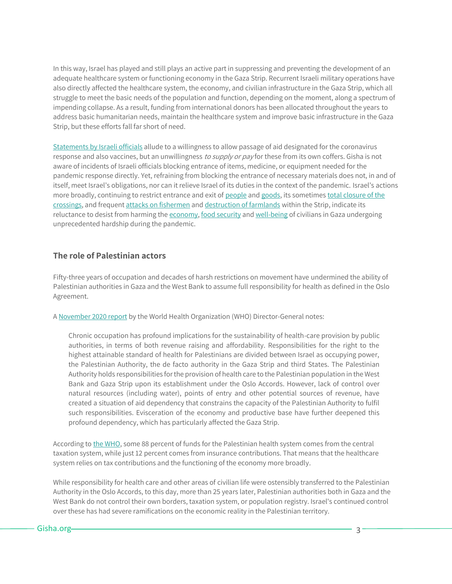In this way, Israel has played and still plays an active part in suppressing and preventing the development of an adequate healthcare system or functioning economy in the Gaza Strip. Recurrent Israeli military operations have also directly affected the healthcare system, the economy, and civilian infrastructure in the Gaza Strip, which all struggle to meet the basic needs of the population and function, depending on the moment, along a spectrum of impending collapse. As a result, funding from international donors has been allocated throughout the years to address basic humanitarian needs, maintain the healthcare system and improve basic infrastructure in the Gaza Strip, but these efforts fall far short of need.

[Statements by Israeli officials](https://www.washingtonpost.com/world/middle_east/israel-vaccine-palestinians-coronavirus/2020/12/18/f1d8d572-4083-11eb-b58b-1623f6267960_story.html) allude to a willingness to allow passage of aid designated for the coronavirus response and also vaccines, but an unwillingness to supply or pay for these from its own coffers. Gisha is not aware of incidents of Israeli officials blocking entrance of items, medicine, or equipment needed for the pandemic response directly. Yet, refraining from blocking the entrance of necessary materials does not, in and of itself, meet Israel's obligations, nor can it relieve Israel of its duties in the context of the pandemic. Israel's actions more broadly, continuing to restrict entrance and exit o[f people](https://gisha.org/updates/11381) an[d goods,](https://gisha.org/updates/11202) its sometimes total closure of the [crossings,](https://gisha.org/updates/11509) and frequent [attacks on fishermen](https://gisha.org/updates/11233) an[d destruction of farmlands](https://gisha.org/updates/11189) within the Strip, indicate its reluctance to desist from harming th[e economy,](https://features.gisha.org/double-lockdown/) [food security](https://gisha.org/updates/11052) an[d well-being](https://gisha.org/updates/11023) of civilians in Gaza undergoing unprecedented hardship during the pandemic.

#### **The role of Palestinian actors**

Fifty-three years of occupation and decades of harsh restrictions on movement have undermined the ability of Palestinian authorities in Gaza and the West Bank to assume full responsibility for health as defined in the Oslo Agreement.

[A November 2020 report](https://apps.who.int/gb/ebwha/pdf_files/WHA73/A73_15-en.pdf) by the World Health Organization (WHO) Director-General notes:

Chronic occupation has profound implications for the sustainability of health-care provision by public authorities, in terms of both revenue raising and affordability. Responsibilities for the right to the highest attainable standard of health for Palestinians are divided between Israel as occupying power, the Palestinian Authority, the de facto authority in the Gaza Strip and third States. The Palestinian Authority holds responsibilities for the provision of health care to the Palestinian population in the West Bank and Gaza Strip upon its establishment under the Oslo Accords. However, lack of control over natural resources (including water), points of entry and other potential sources of revenue, have created a situation of aid dependency that constrains the capacity of the Palestinian Authority to fulfil such responsibilities. Evisceration of the economy and productive base have further deepened this profound dependency, which has particularly affected the Gaza Strip.

According t[o the WHO,](https://reliefweb.int/sites/reliefweb.int/files/resources/WHO_Right_to_health_2018_Web-final.pdf) some 88 percent of funds for the Palestinian health system comes from the central taxation system, while just 12 percent comes from insurance contributions. That means that the healthcare system relies on tax contributions and the functioning of the economy more broadly.

While responsibility for health care and other areas of civilian life were ostensibly transferred to the Palestinian Authority in the Oslo Accords, to this day, more than 25 years later, Palestinian authorities both in Gaza and the West Bank do not control their own borders, taxation system, or population registry. Israel's continued control over these has had severe ramifications on the economic reality in the Palestinian territory.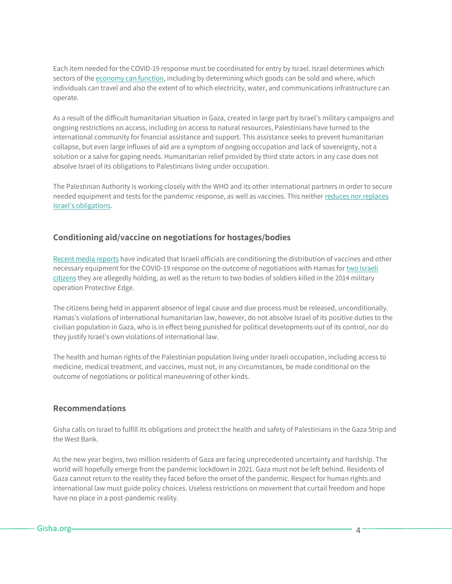Each item needed for the COVID-19 response must be coordinated for entry by Israel. Israel determines which sectors of the [economy can function,](https://features.gisha.org/gaza-up-close/) including by determining which goods can be sold and where, which individuals can travel and also the extent of to which electricity, water, and communications infrastructure can operate.

As a result of the difficult humanitarian situation in Gaza, created in large part by Israel's military campaigns and ongoing restrictions on access, including on access to natural resources, Palestinians have turned to the international community for financial assistance and support. This assistance seeks to prevent humanitarian collapse, but even large influxes of aid are a symptom of ongoing occupation and lack of sovereignty, not a solution or a salve for gaping needs. Humanitarian relief provided by third state actors in any case does not absolve Israel of its obligations to Palestinians living under occupation.

The Palestinian Authority is working closely with the WHO and its other international partners in order to secure needed equipment and tests for the pandemic response, as well as vaccines. This neither reduces [nor replaces](https://www.diakonia.se/globalassets/documents/ihl/ihl-in-opt/briefs/covid-19-in-occupied-gaza-dec-2020.pdf)  [Israel's obligations](https://www.diakonia.se/globalassets/documents/ihl/ihl-in-opt/briefs/covid-19-in-occupied-gaza-dec-2020.pdf).

## **Conditioning aid/vaccine on negotiations for hostages/bodies**

[Recent media reports](https://www.i24news.tv/en/news/israel/diplomacy-defense/1607872894-report-israel-hamas-closing-on-prisoner-swap-deal-in-light-of-covid-19-crisis) have indicated that Israeli officials are conditioning the distribution of vaccines and other necessary equipment for the COVID-19 response on the outcome of negotiations with Hamas fo[r two Israeli](https://gisha.org/updates/10405)  [citizens](https://gisha.org/updates/10405) they are allegedly holding, as well as the return to two bodies of soldiers killed in the 2014 military operation Protective Edge.

The citizens being held in apparent absence of legal cause and due process must be released, unconditionally. Hamas's violations of international humanitarian law, however, do not absolve Israel of its positive duties to the civilian population in Gaza, who is in effect being punished for political developments out of its control, nor do they justify Israel's own violations of international law.

The health and human rights of the Palestinian population living under Israeli occupation, including access to medicine, medical treatment, and vaccines, must not, in any circumstances, be made conditional on the outcome of negotiations or political maneuvering of other kinds.

#### **Recommendations**

Gisha calls on Israel to fulfill its obligations and protect the health and safety of Palestinians in the Gaza Strip and the West Bank.

As the new year begins, two million residents of Gaza are facing unprecedented uncertainty and hardship. The world will hopefully emerge from the pandemic lockdown in 2021. Gaza must not be left behind. Residents of Gaza cannot return to the reality they faced before the onset of the pandemic. Respect for human rights and international law must guide policy choices. Useless restrictions on movement that curtail freedom and hope have no place in a post-pandemic reality.